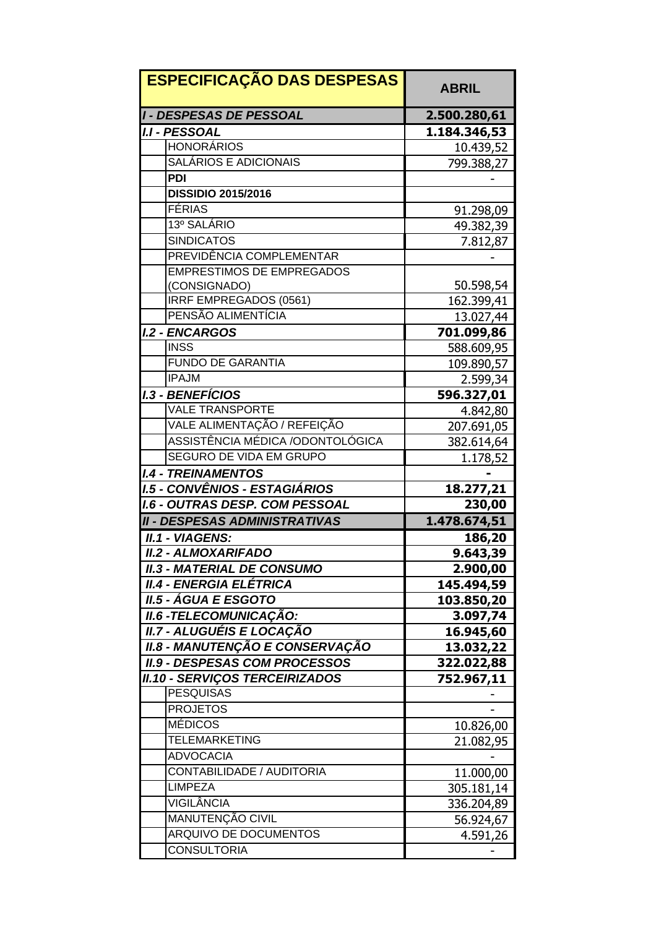| <b>ESPECIFICAÇÃO DAS DESPESAS</b>     | <b>ABRIL</b> |
|---------------------------------------|--------------|
| <b>I - DESPESAS DE PESSOAL</b>        | 2.500.280,61 |
| <b>I.I - PESSOAL</b>                  | 1.184.346,53 |
| <b>HONORÁRIOS</b>                     | 10.439,52    |
| <b>SALÁRIOS E ADICIONAIS</b>          | 799.388,27   |
| <b>PDI</b>                            |              |
| <b>DISSIDIO 2015/2016</b>             |              |
| <b>FÉRIAS</b>                         | 91.298,09    |
| 13º SALÁRIO                           | 49.382,39    |
| <b>SINDICATOS</b>                     | 7.812,87     |
| PREVIDÊNCIA COMPLEMENTAR              |              |
| <b>EMPRESTIMOS DE EMPREGADOS</b>      |              |
| (CONSIGNADO)                          | 50.598,54    |
| <b>IRRF EMPREGADOS (0561)</b>         | 162.399,41   |
| PENSÃO ALIMENTÍCIA                    | 13.027,44    |
| <b>I.2 - ENCARGOS</b>                 | 701.099,86   |
| <b>INSS</b>                           | 588.609,95   |
| <b>FUNDO DE GARANTIA</b>              | 109.890,57   |
| <b>IPAJM</b>                          | 2.599,34     |
| <b>I.3 - BENEFÍCIOS</b>               | 596.327,01   |
| <b>VALE TRANSPORTE</b>                | 4.842,80     |
| VALE ALIMENTAÇÃO / REFEIÇÃO           | 207.691,05   |
| ASSISTÊNCIA MÉDICA /ODONTOLÓGICA      | 382.614,64   |
| SEGURO DE VIDA EM GRUPO               | 1.178,52     |
| <b>I.4 - TREINAMENTOS</b>             |              |
| <b>I.5 - CONVÊNIOS - ESTAGIÁRIOS</b>  | 18.277,21    |
| <b>I.6 - OUTRAS DESP. COM PESSOAL</b> | 230,00       |
| <b>II - DESPESAS ADMINISTRATIVAS</b>  | 1.478.674,51 |
| II.1 - VIAGENS:                       | 186,20       |
| <b>II.2 - ALMOXARIFADO</b>            | 9.643,39     |
| <b>II.3 - MATERIAL DE CONSUMO</b>     | 2.900,00     |
| II.4 - ENERGIA ELÉTRICA               | 145.494,59   |
| <i>II.5 - ÁGUA E ESGOTO</i>           | 103.850,20   |
| <b>II.6 - TELECOMUNICAÇÃO:</b>        | 3.097,74     |
| <b>II.7 - ALUGUÉIS E LOCAÇÃO</b>      | 16.945,60    |
| II.8 - MANUTENÇÃO E CONSERVAÇÃO       | 13.032,22    |
| <b>II.9 - DESPESAS COM PROCESSOS</b>  | 322.022,88   |
| <b>II.10 - SERVIÇOS TERCEIRIZADOS</b> | 752.967,11   |
| <b>PESQUISAS</b>                      |              |
| <b>PROJETOS</b>                       |              |
| <b>MÉDICOS</b>                        | 10.826,00    |
| <b>TELEMARKETING</b>                  | 21.082,95    |
| <b>ADVOCACIA</b>                      |              |
| CONTABILIDADE / AUDITORIA             | 11.000,00    |
| <b>LIMPEZA</b>                        | 305.181,14   |
| <b>VIGILÂNCIA</b>                     | 336.204,89   |
| MANUTENÇÃO CIVIL                      | 56.924,67    |
| ARQUIVO DE DOCUMENTOS                 | 4.591,26     |
| <b>CONSULTORIA</b>                    |              |
|                                       |              |